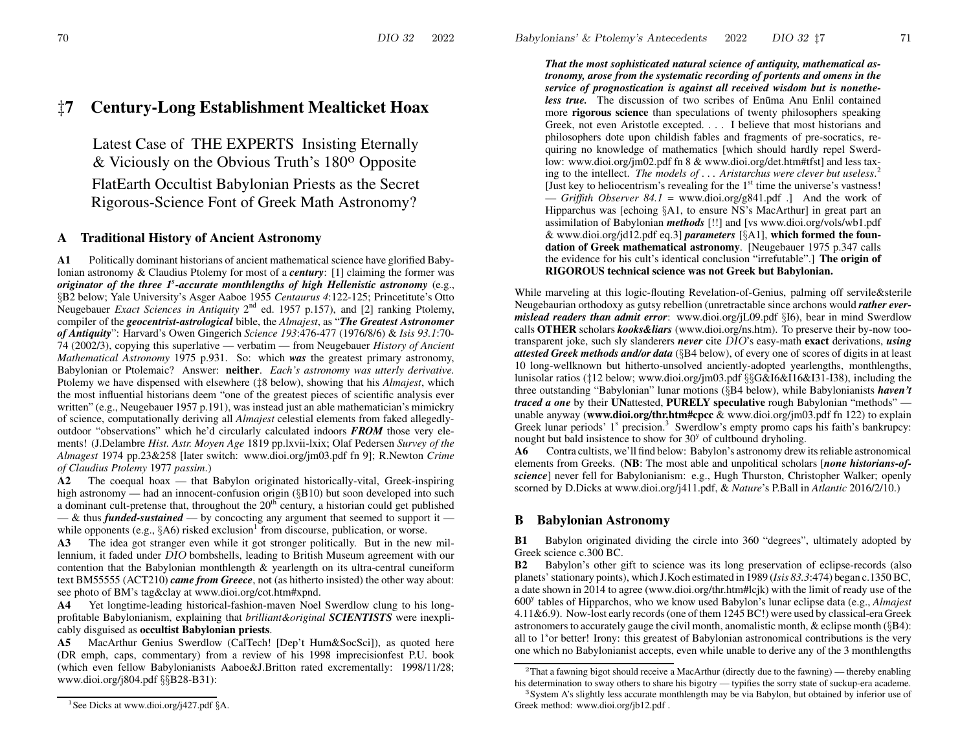‡ **7**

## **Century-Long Establishment Mealticket Hoax**

Latest Case of THE EXPERTS Insisting Eternally & Viciously on the Obvious Truth's 180<sup>o</sup> Opposite FlatEarth Occultist Babylonian Priests as the Secret Rigorous-Science Font of Greek Math Astronomy?

## **A Traditional History of Ancient Astronomy**

**A1** Politically dominant historians of ancient mathematical science have glorified Babylonian astronomy & Claudius Ptolemy for most of <sup>a</sup> *century*: [1] claiming the former was *originator of the three 1<sup>s</sup>-accurate monthlengths of high Hellenistic astronomy* (e.g., §B2 below; Yale University's Asger Aaboe 1955 *Centaurus 4*:122-125; Princetitute's Otto Neugebauer *Exact Sciences in Antiquity* <sup>2</sup>nd ed. <sup>1957</sup> p.157), and [2] ranking Ptolemy, compiler of the *geocentrist-astrological* bible, the *Almajest*, as "*The Greatest Astronomer of Antiquity*": Harvard's Owen Gingerich *Science 193*:476-477 (1976/8/6) & *Isis 93.1*:70- 74 (2002/3), copying this superlative — verbatim — from Neugebauer *History of Ancient Mathematical Astronomy* 1975 p.931. So: which *was* the greatest primary astronomy, Babylonian or Ptolemaic? Answer: **neither**. *Each's astronomy was utterly derivative.* Ptolemy we have dispensed with elsewhere (‡8 below), showing that his *Almajest*, which the most influential historians deem "one of the greatest pieces of scientific analysis ever written" (e.g., Neugebauer 1957 p.191), was instead just an able mathematician's mimickry of science, computationally deriving all *Almajest* celestial elements from faked allegedlyoutdoor "observations" which he'd circularly calculated indoors *FROM* those very elements! (J.Delambre *Hist. Astr. Moyen Age* 1819 pp.lxvii-lxix; Olaf Pedersen *Survey of the Almagest* 1974 pp.23&258 [later switch: www.dioi.org/jm03.pdf fn 9]; R.Newton *Crime of Claudius Ptolemy* 1977 *passim*.)

**A2** The coequal hoax — that Babylon originated historically-vital, Greek-inspiring high astronomy — had an innocent-confusion origin (§B10) but soon developed into such a dominant cult-pretense that, throughout the  $20<sup>th</sup>$  century, a historian could get published — & thus *funded-sustained* — by concocting any argument that seemed to support it while opponents (e.g.,  $\S$ A6) risked exclusion<sup>1</sup> from discourse, publication, or worse.

**A3**3 The idea got stranger even while it got stronger politically. But in the new millennium, it faded under DIO bombshells, leading to British Museum agreemen<sup>t</sup> with our contention that the Babylonian monthlength & yearlength on its ultra-central cuneiform text BM55555 (ACT210) *came from Greece*, not (as hitherto insisted) the other way about: see photo of BM's tag&clay at www.dioi.org/cot.htm#xpnd.

**A4**Yet longtime-leading historical-fashion-maven Noel Swerdlo w clung to his longprofitable Babylonianism, explaining that *brilliant&original SCIENTISTS* were inexplicably disguised as **occultist Babylonian priests**.

**A5** MacArthur Genius Swerdlo w (CalTech! [Dep't Hum&SocSci]), as quoted here (DR emph, caps, commentary) from <sup>a</sup> revie w of his 1998 imprecisionfest P.U. book(which even fello w Babylonianists Aaboe&J.Britton rated excrementally: 1998/11/28; www.dioi.org/j804.pdf §§B28-B31):

*That the most sophisticated natural science of antiquity, mathematical astronomy, arose from the systematic recording of portents and omens in the service of prognostication is against all received wisdom but is nonetheless true.* The discussion of two scribes of Enūma Anu Enlil contained more **rigorous science** than speculations of twenty philosophers speaking Greek, not even Aristotle excepted. . . . I believe that most historians and philosophers dote upon childish fables and fragments of pre-socratics, requiring no knowledge of mathematics [which should hardly repel Swerdlow: www.dioi.org/jm02.pdf fn 8 & www.dioi.org/det.htm#tfst] and less taxing to the intellect. *The models of . . . Aristarchus were clever but useless*. 2 [Just key to heliocentrism's revealing for the  $1<sup>st</sup>$  time the universe's vastness! — *Griffith Observer 84.1* = www.dioi.org/g841.pdf .] And the work of Hipparchus was [echoing §A1, to ensure NS's MacArthur] in grea<sup>t</sup> par<sup>t</sup> an assimilation of Babylonian *methods* [!!] and [vs www.dioi.org/vols/wb1.pdf & www.dioi.org/jd12.pdf eq.3] *parameters* [§A1], **which formed the foundation of Greek mathematical astronomy**. [Neugebauer 1975 p.347 calls the evidence for his cult's identical conclusion "irrefutable".] **The origin of RIGOROUS technical science was not Greek but Babylonian.**

While marveling at this logic-flouting Revelation-of-Genius, palming off servile&sterile Neugebaurian orthodoxy as gutsy rebellion (unretractable since archons would *rather evermislead readers than admit error*: www.dioi.org/jL09.pdf §I6), bear in mind Swerdlo w calls **OTHER** scholars *kooks&liars* (www.dioi.org/ns.htm). To preserve their by-no w tootransparent joke, such sly slanderers *never* cite DIO's easy-math **exact** derivations, *using attested Greek methods and/or data* (§B4 below), of every one of scores of digits in at least 10 long-wellknown but hitherto-unsolved anciently-adopted yearlengths, monthlengths, lunisolar ratios (‡12 below; www.dioi.org/jm03.pdf §§G&I6&I16&I31-I38), including the three outstanding "Babylonian" lunar motions (§B4 below), while Babylonianists *haven't traced <sup>a</sup> one* by their **UN**attested, **PURELY speculative** rough Babylonian "methods" unable anyway (**www.dioi.org/thr.htm#cpcc** & www.dioi.org/jm03.pdf fn 122) to explain Greek lunar periods' 1<sup>s</sup> precision.<sup>3</sup> Swerdlow's empty promo caps his faith's bankrupcy: nought but bald insistence to show for  $30<sup>y</sup>$  of cultbound dryholing.

**A6** Contra cultists, we'll find below: Babylon's astronomy dre w itsreliable astronomical elements from Greeks. (**NB**: The most able and unpolitical scholars [*none historians-ofscience*] never fell for Babylonianism: e.g., Hugh Thurston, Christopher Walker; openly scorned by D.Dicks at www.dioi.org/j411.pdf, & *Nature*'s P.Ball in *Atlantic* 2016/2/10.)

## **BBabylonian Astronomy**

**B1** Babylon originated dividing the circle into 360 "degrees", ultimately adopted by Greek science c.300 BC.

**B2**2 Babylon's other gift to science was its long preservation of eclipse-records (also planets'stationary points), which J.Koch estimated in 1989 (*Isis 83.3*:474) began c.1350 BC, a date shown in 2014 to agree (www.dioi.org/thr.htm#lcjk) with the limit of ready use of the 600<sup>y</sup> tables of Hipparchos, who we kno w used Babylon's lunar eclipse data (e.g., *Almajest* 4.11&6.9). Now-lost early records(one of them 1245 BC!) were used by classical-era Greek astronomers to accurately gauge the civil month, anomalistic month, & eclipse month  $(\S B4)$ : all to  $1<sup>s</sup>$  or better! Irony: this greatest of Babylonian astronomical contributions is the very one which no Babylonianist accepts, even while unable to derive any of the 3 monthlengths

<sup>&</sup>lt;sup>1</sup>See Dicks at www.dioi.org/j427.pdf §A.

 $2$ That a fawning bigot should receive a MacArthur (directly due to the fawning) — thereby enabling his determination to sway others to share his bigotry — typifies the sorry state of suckup-era academe.

<sup>3</sup>System A's slightly less accurate monthlength may be via Babylon, but obtained by inferior use of Greek method: www.dioi.org/jb12.pdf .